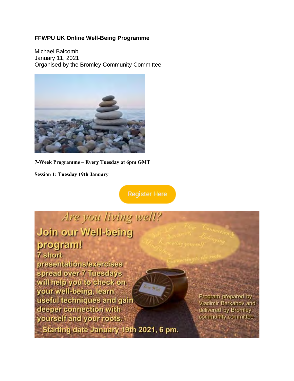#### **FFWPU UK Online Well-Being Programme**

Michael Balcomb January 11, 2021 Organised by the Bromley Community Committee



**7-Week Programme – Every Tuesday at 6pm GMT**

**Session 1: Tuesday 19th January**

**Register Here** 

# Are you living well? pnied-lleW uro nioU program! 7 short presentations/exercises spread over 7 Tuesdays will help you to check on your well-being, learn useful techniques and gain deeper connection with

yourself and your roots.

Starting date January 19th 2021, 6 pm.

Program prepared by Vladimir Barkanov and delivered by Bromley community committee.